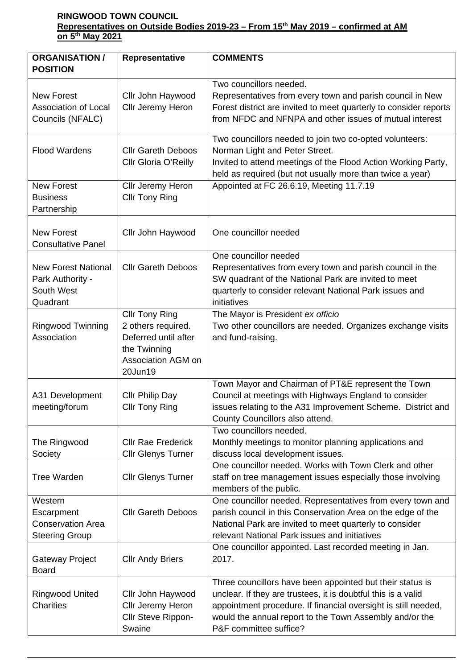## **RINGWOOD TOWN COUNCIL Representatives on Outside Bodies 2019-23 – From 15th May 2019 – confirmed at AM on 5th May 2021**

| <b>ORGANISATION /</b><br><b>POSITION</b>                                   | Representative                                                                                                       | <b>COMMENTS</b>                                                                                                                                                                                                                                                                   |  |
|----------------------------------------------------------------------------|----------------------------------------------------------------------------------------------------------------------|-----------------------------------------------------------------------------------------------------------------------------------------------------------------------------------------------------------------------------------------------------------------------------------|--|
| <b>New Forest</b><br><b>Association of Local</b><br>Councils (NFALC)       | Cllr John Haywood<br>Cllr Jeremy Heron                                                                               | Two councillors needed.<br>Representatives from every town and parish council in New<br>Forest district are invited to meet quarterly to consider reports<br>from NFDC and NFNPA and other issues of mutual interest                                                              |  |
| <b>Flood Wardens</b>                                                       | <b>Cllr Gareth Deboos</b><br>Cllr Gloria O'Reilly                                                                    | Two councillors needed to join two co-opted volunteers:<br>Norman Light and Peter Street.<br>Invited to attend meetings of the Flood Action Working Party,<br>held as required (but not usually more than twice a year)                                                           |  |
| <b>New Forest</b><br><b>Business</b><br>Partnership                        | Cllr Jeremy Heron<br><b>Cllr Tony Ring</b>                                                                           | Appointed at FC 26.6.19, Meeting 11.7.19                                                                                                                                                                                                                                          |  |
| <b>New Forest</b><br><b>Consultative Panel</b>                             | Cllr John Haywood                                                                                                    | One councillor needed                                                                                                                                                                                                                                                             |  |
| <b>New Forest National</b><br>Park Authority -<br>South West<br>Quadrant   | <b>Cllr Gareth Deboos</b>                                                                                            | One councillor needed<br>Representatives from every town and parish council in the<br>SW quadrant of the National Park are invited to meet<br>quarterly to consider relevant National Park issues and<br>initiatives                                                              |  |
| <b>Ringwood Twinning</b><br>Association                                    | <b>Cllr Tony Ring</b><br>2 others required.<br>Deferred until after<br>the Twinning<br>Association AGM on<br>20Jun19 | The Mayor is President ex officio<br>Two other councillors are needed. Organizes exchange visits<br>and fund-raising.                                                                                                                                                             |  |
| A31 Development<br>meeting/forum                                           | <b>Cllr Philip Day</b><br><b>Cllr Tony Ring</b>                                                                      | Town Mayor and Chairman of PT&E represent the Town<br>Council at meetings with Highways England to consider<br>issues relating to the A31 Improvement Scheme. District and<br>County Councillors also attend.                                                                     |  |
| The Ringwood<br>Society                                                    | <b>Cllr Rae Frederick</b><br><b>Cllr Glenys Turner</b>                                                               | Two councillors needed.<br>Monthly meetings to monitor planning applications and<br>discuss local development issues.                                                                                                                                                             |  |
| <b>Tree Warden</b>                                                         | <b>Cllr Glenys Turner</b>                                                                                            | One councillor needed. Works with Town Clerk and other<br>staff on tree management issues especially those involving<br>members of the public.                                                                                                                                    |  |
| Western<br>Escarpment<br><b>Conservation Area</b><br><b>Steering Group</b> | <b>Cllr Gareth Deboos</b>                                                                                            | One councillor needed. Representatives from every town and<br>parish council in this Conservation Area on the edge of the<br>National Park are invited to meet quarterly to consider<br>relevant National Park issues and initiatives                                             |  |
| Gateway Project<br><b>Board</b>                                            | <b>Cllr Andy Briers</b>                                                                                              | One councillor appointed. Last recorded meeting in Jan.<br>2017.                                                                                                                                                                                                                  |  |
| Ringwood United<br><b>Charities</b>                                        | Cllr John Haywood<br>Cllr Jeremy Heron<br>Cllr Steve Rippon-<br>Swaine                                               | Three councillors have been appointed but their status is<br>unclear. If they are trustees, it is doubtful this is a valid<br>appointment procedure. If financial oversight is still needed,<br>would the annual report to the Town Assembly and/or the<br>P&F committee suffice? |  |